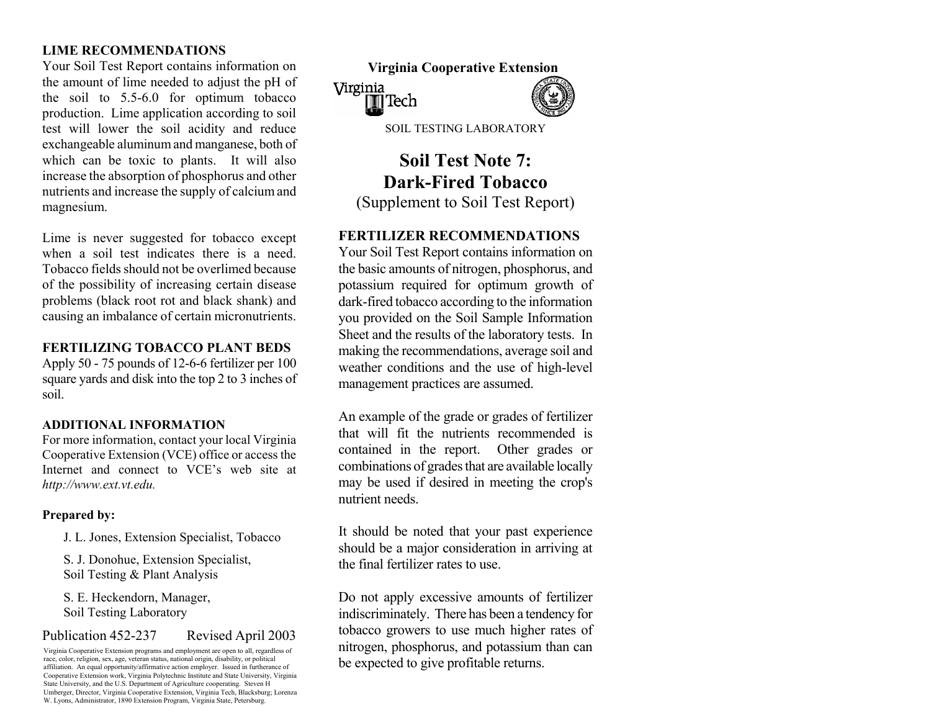# **LIME RECOMMENDATIONS**

Your Soil Test Report contains information on the amount of lime needed to adjust the pH of the soil to 5.5-6.0 for optimum tobacco production. Lime application according to soil test will lower the soil acidity and reduce exchan geable alu min u m and manganese, both of which can be toxic to plants. It will also increase the absorption of phosphorus and other nutrients and increase the supply of calciu ma ndm agnesium.

Lime is never suggested for tobacco except **FERTILIZER RECOMMENDATIONS**  when a soil test indicates there is a need. Tobacco fields should not be overlimed becauseof the possibility of increasing certain disease problems (black root rot and black shank) and causing an imbalance of certain micronutrients.

## **FERTILIZING TOBACCO PLANT BEDS**

Apply 50 - 75 pounds of 12-6-6 fertilizer per 100 square yards and disk into the top 2 to 3 inches of soil.

## **ADDITIONAL INFORMATION**

For m ore information, contact your local Virginia Cooperative Extension (VCE) office or access the Internet and connect to VCE's web site at *http://www.ext.vt.edu.* 

## **Prepared by:**

J. L. Jones, Extension Specialist, Tobacco

S. J. Donohue, Extension Specialist, Soil Testing & Plant Analysis

S. E. Heckendorn, Manager, Soil Testing Laboratory

## Publication 452-237 Revised April 2003

Virginia Cooperative Extension programs and employment are open to all, regardless of race, color, religion, sex, age, veteran status, national origin, disability, or political affiliation. An equal opportunity/affirmative action employer. Issued in furtherance of Cooperative Extension work, Virginia Polytechnic Institute and State University, Virginia State University, and the U.S. Department of Agriculture cooperating. Steven H Umberger, Director, Virginia Cooperative Extension, Virginia Tech, Blacksburg; Lorenza W. Lyons, Administrator, 1890 Extension Program, Virginia State, Petersburg.

**Virginia Cooperative Extension**  Virginia l¶l Tech SOIL TESTING LABORATORY

# **Soil Test Note 7: Dark-Fired Tobacco** (Supplement to Soil Test Report)

Your Soil Test Report contains information on the basic amounts of nitrogen, phosphorus, and potassium required for optimum growth of dark-fired tobacco according to the in formationyou provided on the Soil Sample Information Sheet and the results of the laboratory tests. In making the recomm endations, average soil and weather conditions and the use of high-level m anagem ent practices are assum ed.

An example of the grade or grades of fertilizer that will fit the nutrients recommended is contained in the report. Other grades or combinations of grades that are available locally may be used if desired in m eeting the crop's nutrient needs.

It should be noted that your past experience should be a m ajor consideration in arriving at the final fertilizer rates to use.

Do not apply excessive amounts of fertilizer indiscriminately. There has been a tendency for tobacco growers to use much higher rates of nitrogen, phosphorus, and potassium than can be expected to give profitable returns.